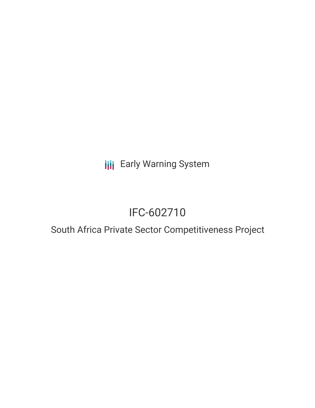**III** Early Warning System

# IFC-602710

## South Africa Private Sector Competitiveness Project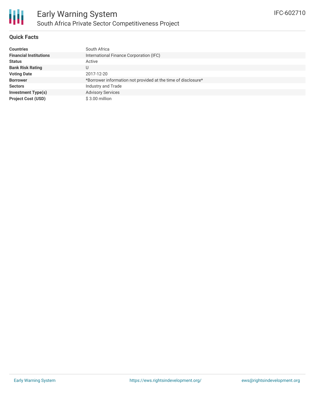

#### **Quick Facts**

| <b>Countries</b>                 | South Africa                                                  |
|----------------------------------|---------------------------------------------------------------|
| <b>Financial Institutions</b>    | International Finance Corporation (IFC)                       |
| <b>Status</b><br>Active          |                                                               |
| <b>Bank Risk Rating</b>          |                                                               |
| <b>Voting Date</b><br>2017-12-20 |                                                               |
| <b>Borrower</b>                  | *Borrower information not provided at the time of disclosure* |
| <b>Sectors</b>                   | Industry and Trade                                            |
| <b>Investment Type(s)</b>        | <b>Advisory Services</b>                                      |
| <b>Project Cost (USD)</b>        | $$3.00$ million                                               |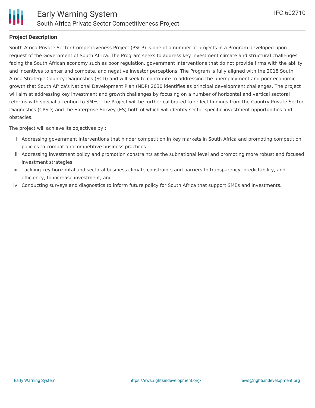

#### **Project Description**

South Africa Private Sector Competitiveness Project (PSCP) is one of a number of projects in a Program developed upon request of the Government of South Africa. The Program seeks to address key investment climate and structural challenges facing the South African economy such as poor regulation, government interventions that do not provide firms with the ability and incentives to enter and compete, and negative investor perceptions. The Program is fully aligned with the 2018 South Africa Strategic Country Diagnostics (SCD) and will seek to contribute to addressing the unemployment and poor economic growth that South Africa's National Development Plan (NDP) 2030 identifies as principal development challenges. The project will aim at addressing key investment and growth challenges by focusing on a number of horizontal and vertical sectoral reforms with special attention to SMEs. The Project will be further calibrated to reflect findings from the Country Private Sector Diagnostics (CPSD) and the Enterprise Survey (ES) both of which will identify sector specific investment opportunities and obstacles.

The project will achieve its objectives by :

- i. Addressing government interventions that hinder competition in key markets in South Africa and promoting competition policies to combat anticompetitive business practices ;
- ii. Addressing investment policy and promotion constraints at the subnational level and promoting more robust and focused investment strategies;
- iii. Tackling key horizontal and sectoral business climate constraints and barriers to transparency, predictability, and efficiency, to increase investment; and
- iv. Conducting surveys and diagnostics to inform future policy for South Africa that support SMEs and investments.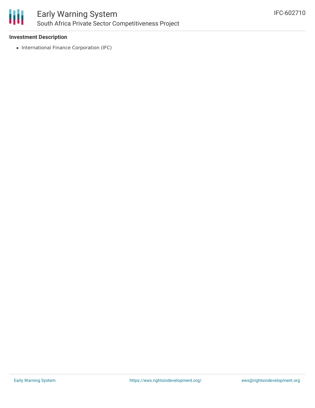

#### **Investment Description**

• International Finance Corporation (IFC)